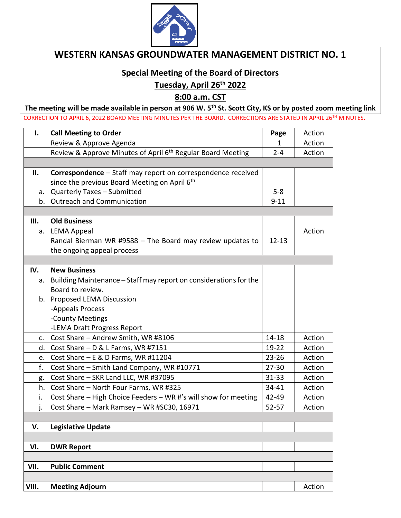

## **WESTERN KANSAS GROUNDWATER MANAGEMENT DISTRICT NO. 1**

## **Special Meeting of the Board of Directors**

**Tuesday, April 26th 2022**

**8:00 a.m. CST**

**The meeting will be made available in person at 906 W. 5th St. Scott City, KS or by posted zoom meeting link** CORRECTION TO APRIL 6, 2022 BOARD MEETING MINUTES PER THE BOARD. CORRECTIONS ARE STATED IN APRIL 26TH MINUTES.

| $\mathbf{I}$ . | <b>Call Meeting to Order</b>                                            | Page         | Action |
|----------------|-------------------------------------------------------------------------|--------------|--------|
|                | Review & Approve Agenda                                                 | $\mathbf{1}$ | Action |
|                | Review & Approve Minutes of April 6 <sup>th</sup> Regular Board Meeting | $2 - 4$      | Action |
|                |                                                                         |              |        |
| Ш.             | Correspondence - Staff may report on correspondence received            |              |        |
|                | since the previous Board Meeting on April 6th                           |              |        |
| a.             | <b>Quarterly Taxes - Submitted</b>                                      | $5-8$        |        |
|                | b. Outreach and Communication                                           | $9 - 11$     |        |
|                |                                                                         |              |        |
| Ш.             | <b>Old Business</b>                                                     |              |        |
| a.             | <b>LEMA Appeal</b>                                                      |              | Action |
|                | Randal Bierman WR #9588 - The Board may review updates to               | $12 - 13$    |        |
|                | the ongoing appeal process                                              |              |        |
|                |                                                                         |              |        |
| IV.            | <b>New Business</b>                                                     |              |        |
| а.             | Building Maintenance - Staff may report on considerations for the       |              |        |
|                | Board to review.                                                        |              |        |
|                | b. Proposed LEMA Discussion                                             |              |        |
|                | -Appeals Process                                                        |              |        |
|                | -County Meetings                                                        |              |        |
|                | -LEMA Draft Progress Report                                             |              |        |
| C.             | Cost Share - Andrew Smith, WR #8106                                     | 14-18        | Action |
| d.             | Cost Share - D & L Farms, WR #7151                                      | 19-22        | Action |
| e.             | Cost Share $- E & D$ Farms, WR #11204                                   | $23 - 26$    | Action |
| f.             | Cost Share - Smith Land Company, WR #10771                              | $27 - 30$    | Action |
| g.             | Cost Share - SKR Land LLC, WR #37095                                    | $31 - 33$    | Action |
| h.             | Cost Share - North Four Farms, WR #325                                  | 34-41        | Action |
| i.             | Cost Share - High Choice Feeders - WR #'s will show for meeting         | 42-49        | Action |
| j.             | Cost Share - Mark Ramsey - WR #SC30, 16971                              | $52 - 57$    | Action |
|                |                                                                         |              |        |
| V.             | <b>Legislative Update</b>                                               |              |        |
|                |                                                                         |              |        |
| VI.            | <b>DWR Report</b>                                                       |              |        |
| VII.           | <b>Public Comment</b>                                                   |              |        |
|                |                                                                         |              |        |
| VIII.          | <b>Meeting Adjourn</b>                                                  |              | Action |
|                |                                                                         |              |        |